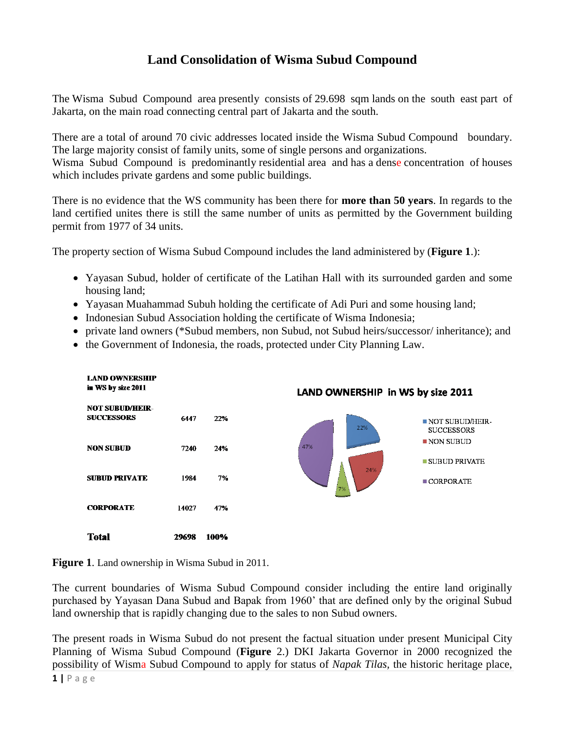## **Land Consolidation of Wisma Subud Compound**

The Wisma Subud Compound area presently consists of 29.698 sqm lands on the south east part of Jakarta, on the main road connecting central part of Jakarta and the south.

There are a total of around 70 civic addresses located inside the Wisma Subud Compound boundary. The large majority consist of family units, some of single persons and organizations.

Wisma Subud Compound is predominantly residential area and has a dense concentration of houses which includes private gardens and some public buildings.

There is no evidence that the WS community has been there for **more than 50 years**. In regards to the land certified unites there is still the same number of units as permitted by the Government building permit from 1977 of 34 units.

The property section of Wisma Subud Compound includes the land administered by (**Figure 1**.):

- Yayasan Subud, holder of certificate of the Latihan Hall with its surrounded garden and some housing land;
- Yayasan Muahammad Subuh holding the certificate of Adi Puri and some housing land;
- Indonesian Subud Association holding the certificate of Wisma Indonesia;
- private land owners (\*Subud members, non Subud, not Subud heirs/successor/ inheritance); and
- the Government of Indonesia, the roads, protected under City Planning Law.



**Figure 1**. Land ownership in Wisma Subud in 2011.

The current boundaries of Wisma Subud Compound consider including the entire land originally purchased by Yayasan Dana Subud and Bapak from 1960' that are defined only by the original Subud land ownership that is rapidly changing due to the sales to non Subud owners.

The present roads in Wisma Subud do not present the factual situation under present Municipal City Planning of Wisma Subud Compound (**Figure** 2.) DKI Jakarta Governor in 2000 recognized the possibility of Wisma Subud Compound to apply for status of *Napak Tilas,* the historic heritage place,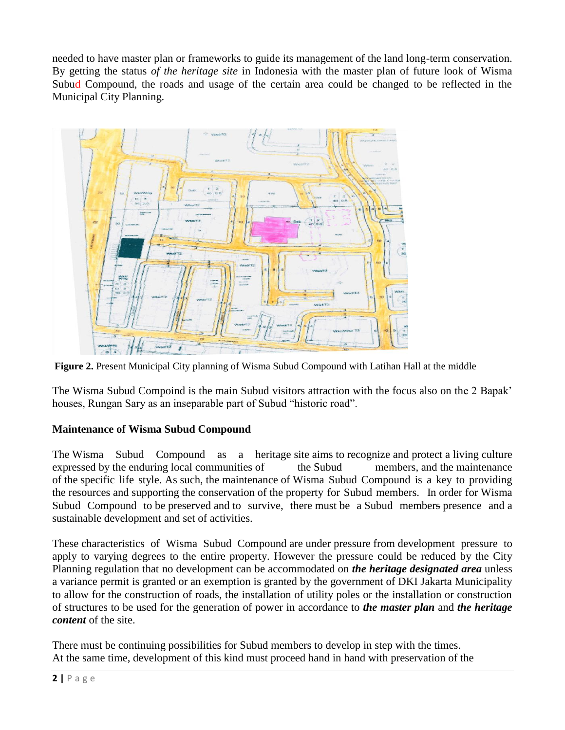needed to have master plan or frameworks to guide its management of the land long-term conservation. By getting the status *of the heritage site* in Indonesia with the master plan of future look of Wisma Subud Compound, the roads and usage of the certain area could be changed to be reflected in the Municipal City Planning.



**Figure 2.** Present Municipal City planning of Wisma Subud Compound with Latihan Hall at the middle

The Wisma Subud Compoind is the main Subud visitors attraction with the focus also on the 2 Bapak' houses, Rungan Sary as an inseparable part of Subud "historic road".

## **Maintenance of Wisma Subud Compound**

The Wisma Subud Compound as a heritage site aims to recognize and protect a living culture expressed by the enduring local communities of the Subud members, and the maintenance of the specific life style. As such, the maintenance of Wisma Subud Compound is a key to providing the resources and supporting the conservation of the property for Subud members. In order for Wisma Subud Compound to be preserved and to survive, there must be a Subud members presence and a sustainable development and set of activities.

These characteristics of Wisma Subud Compound are under pressure from development pressure to apply to varying degrees to the entire property. However the pressure could be reduced by the City Planning regulation that no development can be accommodated on *the heritage designated area* unless a variance permit is granted or an exemption is granted by the government of DKI Jakarta Municipality to allow for the construction of roads, the installation of utility poles or the installation or construction of structures to be used for the generation of power in accordance to *the master plan* and *the heritage content* of the site.

There must be continuing possibilities for Subud members to develop in step with the times. At the same time, development of this kind must proceed hand in hand with preservation of the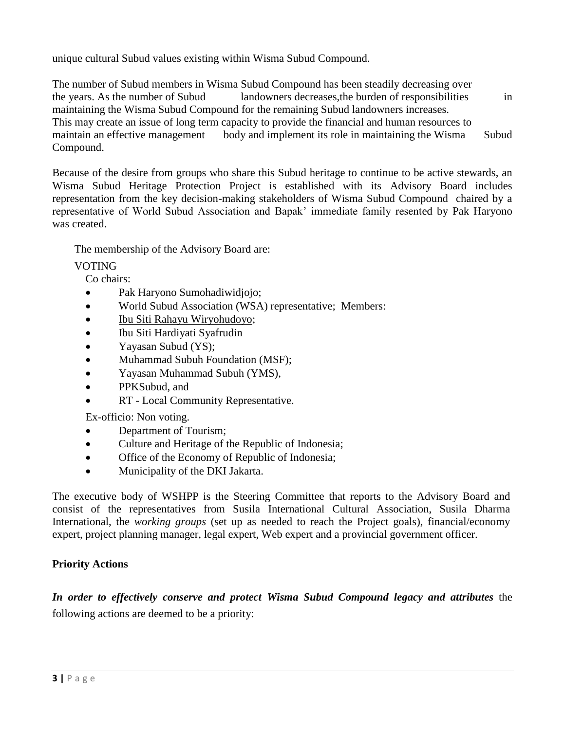unique cultural Subud values existing within Wisma Subud Compound.

The number of Subud members in Wisma Subud Compound has been steadily decreasing over the years. As the number of Subud landowners decreases, the burden of responsibilities in maintaining the Wisma Subud Compound for the remaining Subud landowners increases. This may create an issue of long term capacity to provide the financial and human resources to maintain an effective management body and implement its role in maintaining the Wisma Subud Compound.

Because of the desire from groups who share this Subud heritage to continue to be active stewards, an Wisma Subud Heritage Protection Project is established with its Advisory Board includes representation from the key decision-making stakeholders of Wisma Subud Compound chaired by a representative of World Subud Association and Bapak' immediate family resented by Pak Haryono was created.

The membership of the Advisory Board are:

## **VOTING**

Co chairs:

- Pak Haryono Sumohadiwidjojo;
- World Subud Association (WSA) representative; Members:
- [Ibu Siti Rahayu Wiryohudoyo;](http://en.wikipedia.org/wiki/Ibu_Rahayu)
- Ibu Siti Hardiyati Syafrudin
- Yayasan Subud (YS);
- Muhammad Subuh Foundation (MSF);
- Yayasan Muhammad Subuh (YMS),
- PPKSubud, and
- RT Local Community Representative.

Ex-officio: Non voting.

- Department of Tourism;
- Culture and Heritage of the Republic of Indonesia;
- Office of the Economy of Republic of Indonesia;
- Municipality of the DKI Jakarta.

The executive body of WSHPP is the Steering Committee that reports to the Advisory Board and consist of the representatives from Susila International Cultural Association, Susila Dharma International, the *working groups* (set up as needed to reach the Project goals), financial/economy expert, project planning manager, legal expert, Web expert and a provincial government officer.

## **Priority Actions**

*In order to effectively conserve and protect Wisma Subud Compound legacy and attributes* the following actions are deemed to be a priority: